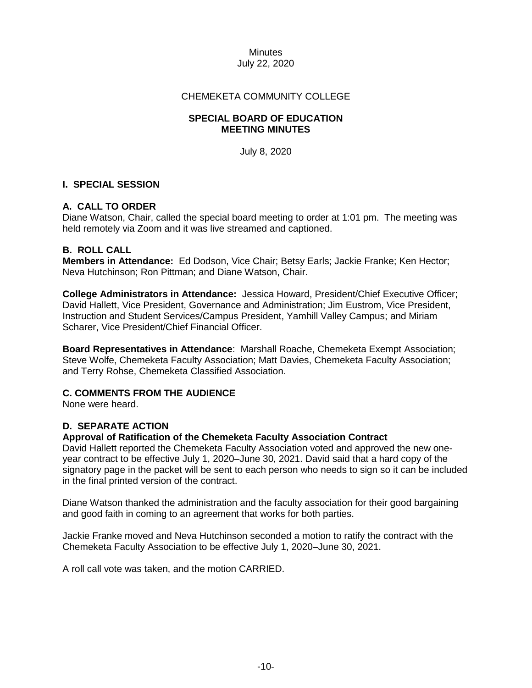#### **Minutes** July 22, 2020

## CHEMEKETA COMMUNITY COLLEGE

### **SPECIAL BOARD OF EDUCATION MEETING MINUTES**

July 8, 2020

## **I. SPECIAL SESSION**

## **A. CALL TO ORDER**

Diane Watson, Chair, called the special board meeting to order at 1:01 pm. The meeting was held remotely via Zoom and it was live streamed and captioned.

#### **B. ROLL CALL**

**Members in Attendance:** Ed Dodson, Vice Chair; Betsy Earls; Jackie Franke; Ken Hector; Neva Hutchinson; Ron Pittman; and Diane Watson, Chair.

**College Administrators in Attendance:** Jessica Howard, President/Chief Executive Officer; David Hallett, Vice President, Governance and Administration; Jim Eustrom, Vice President, Instruction and Student Services/Campus President, Yamhill Valley Campus; and Miriam Scharer, Vice President/Chief Financial Officer.

**Board Representatives in Attendance**: Marshall Roache, Chemeketa Exempt Association; Steve Wolfe, Chemeketa Faculty Association; Matt Davies, Chemeketa Faculty Association; and Terry Rohse, Chemeketa Classified Association.

#### **C. COMMENTS FROM THE AUDIENCE**

None were heard.

#### **D. SEPARATE ACTION**

### **Approval of Ratification of the Chemeketa Faculty Association Contract**

David Hallett reported the Chemeketa Faculty Association voted and approved the new oneyear contract to be effective July 1, 2020–June 30, 2021. David said that a hard copy of the signatory page in the packet will be sent to each person who needs to sign so it can be included in the final printed version of the contract.

Diane Watson thanked the administration and the faculty association for their good bargaining and good faith in coming to an agreement that works for both parties.

Jackie Franke moved and Neva Hutchinson seconded a motion to ratify the contract with the Chemeketa Faculty Association to be effective July 1, 2020–June 30, 2021.

A roll call vote was taken, and the motion CARRIED.